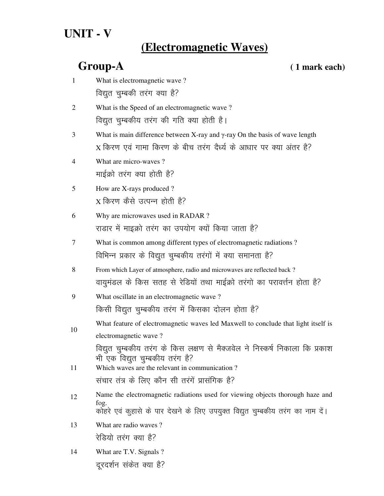# **UNIT - V**

# **(Electromagnetic Waves)**

## **Group-A ( 1 mark each)**

| $\mathbf{1}$   | What is electromagnetic wave?                                                          |
|----------------|----------------------------------------------------------------------------------------|
|                | विद्युत चुम्बकी तरंग क्या है?                                                          |
| $\overline{2}$ | What is the Speed of an electromagnetic wave?                                          |
|                | विद्युत चुम्बकीय तरंग की गति क्या होती है।                                             |
| 3              | What is main difference between X-ray and $\gamma$ -ray On the basis of wave length    |
|                | X किरण एवं गामा किरण के बीच तरंग दैर्ध्य के आधार पर क्या अंतर है?                      |
| 4              | What are micro-waves?                                                                  |
|                | माईक्रो तरंग क्या होती है?                                                             |
| 5              | How are X-rays produced?                                                               |
|                | X किरण कैसे उत्पन्न होती है?                                                           |
| 6              | Why are microwaves used in RADAR?                                                      |
|                | राडार में माइक्रो तरंग का उपयोग क्यों किया जाता है?                                    |
| 7              | What is common among different types of electromagnetic radiations?                    |
|                | विभिन्न प्रकार के विद्युत चुम्बकीय तरंगों में क्या समानता है?                          |
| 8              | From which Layer of atmosphere, radio and microwaves are reflected back?               |
|                | वायुमंडल के किस सतह से रेडियों तथा माईक्रो तरंगो का परावर्त्तन होता है?                |
| 9              | What oscillate in an electromagnetic wave?                                             |
|                | किसी विद्युत चुम्बकीय तरंग में किसका दोलन होता है?                                     |
| 10             | What feature of electromagnetic waves led Maxwell to conclude that light itself is     |
|                | electromagnetic wave?                                                                  |
|                | विद्युत चुम्बकीय तरंग के किस लक्षण से मैक्जवेल ने निस्कर्ष निकाला कि प्रकाश            |
| 11             | भी एक विद्युत चुम्बकीय तरंग है?<br>Which waves are the relevant in communication?      |
|                | संचार तंत्र के लिए कौन सी तरंगें प्रासंगिक है?                                         |
| 12             | Name the electromagnetic radiations used for viewing objects thorough haze and         |
|                | fog.<br>कोहरे एवं कुहासे के पार देखने के लिए उपयुक्त विद्युत चुम्बकीय तरंग का नाम दें। |
| 13             | What are radio waves?                                                                  |
|                | रेडियो तरंग क्या है?                                                                   |
| 14             | What are T.V. Signals ?                                                                |

दूरदर्शन संकेत क्या है?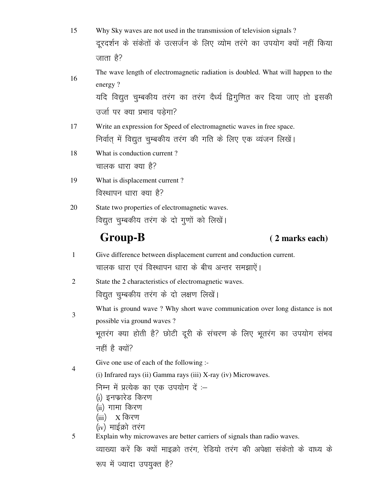| 15             | Why Sky waves are not used in the transmission of television signals?                        |
|----------------|----------------------------------------------------------------------------------------------|
|                | दूरदर्शन के संकेतों के उत्सर्जन के लिए व्योम तरंगे का उपयोग क्यों नहीं किया                  |
|                | जाता है?                                                                                     |
|                | The wave length of electromagnetic radiation is doubled. What will happen to the             |
| 16             | energy?                                                                                      |
|                | यदि विद्युत चुम्बकीय तरंग का तरंग दैर्ध्य द्विगुणित कर दिया जाए तो इसकी                      |
|                | उर्जा पर क्या प्रभाव पड़ेगा?                                                                 |
| 17             | Write an expression for Speed of electromagnetic waves in free space.                        |
|                | निर्वात् में विद्युत चुम्बकीय तरंग की गति के लिए एक व्यंजन लिखें।                            |
| 18             | What is conduction current?                                                                  |
|                | चालक धारा क्या है?                                                                           |
| 19             | What is displacement current?                                                                |
|                | विस्थापन धारा क्या है?                                                                       |
| 20             | State two properties of electromagnetic waves.                                               |
|                | विद्युत चुम्बकीय तरंग के दो गुणों को लिखें।                                                  |
|                |                                                                                              |
|                | <b>Group-B</b><br>(2 marks each)                                                             |
| 1              | Give difference between displacement current and conduction current.                         |
|                | चालक धारा एवं विस्थापन धारा के बीच अन्तर समझाऐं।                                             |
| $\overline{2}$ | State the 2 characteristics of electromagnetic waves.                                        |
|                | विद्युत चुम्बकीय तरंग के दो लक्षण लिखें।                                                     |
|                | What is ground wave? Why short wave communication over long distance is not                  |
| 3              | possible via ground waves?                                                                   |
|                | भूतरंग क्या होती है? छोटी दूरी के संचरण के लिए भूतरंग का उपयोग संभव                          |
|                | नहीं है क्यों?                                                                               |
|                | Give one use of each of the following :-                                                     |
| 4              | (i) Infrared rays (ii) Gamma rays (iii) X-ray (iv) Microwaves.                               |
|                | निम्न में प्रत्येक का एक उपयोग दें :-                                                        |
|                | (i) इनफारेड किरण                                                                             |
|                | (ii) गामा किरण<br>$\boldsymbol{\mathrm{X}}$ किरण<br>(iii)                                    |
| 5              | (iv) माईक्रो तरंग<br>Explain why microwaves are better carriers of signals than radio waves. |

रूप में ज्यादा उपयुक्त है?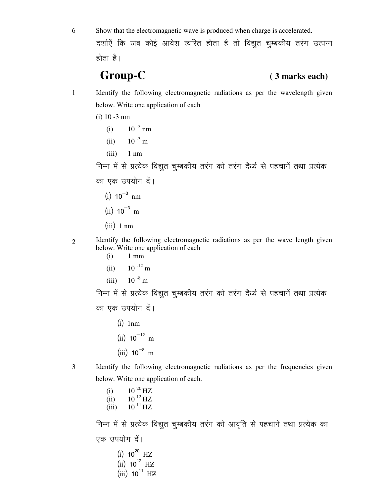6 Show that the electromagnetic wave is produced when charge is accelerated. दर्शाएँ कि जब कोई आवेश त्वरित होता है तो विद्युत चुम्बकीय तरंग उत्पन्न

होता है।

### **Group-C ( 3 marks each)**

- 1 Identify the following electromagnetic radiations as per the wavelength given below. Write one application of each
	- (i) 10 -3 nm
- (i)  $10^{-3}$  nm
	- (ii)  $10^{-3}$  m
	- $(iii)$  1 nm

निम्न में से प्रत्येक विद्युत चुम्बकीय तरंग को तरंग दैर्ध्य से पहचानें तथा प्रत्येक का एक उपयोग दें।

- $(i) 10^{-3}$  nm
- $(ii) 10^{-3}$  m
- $(iii)$  1 nm

- 2 Identify the following electromagnetic radiations as per the wave length given below. Write one application of each
	- (i) 1 mm
	- $(ii)$  10  $^{-12}$  m
	- (iii)  $10^{-8}$  m

निम्न में से प्रत्येक विद्युत चुम्बकीय तरंग को तरंग दैर्ध्य से पहचानें तथा प्रत्येक का एक उपयोग दें।

- $(i)$  1nm
- $(ii) 10^{-12}$  m
- $(iii) 10^{-8}$  m
- 

3 Identify the following electromagnetic radiations as per the frequencies given below. Write one application of each.

- (i)  $10^{20}$  HZ
- (ii)  $10^{12}$  HZ
- (iii)  $10^{11}$  HZ

निम्न में से प्रत्येक विद्युत चुम्बकीय तरंग को आवृति से पहचाने तथा प्रत्येक का एक उपयोग दें।

- $(i) 10^{20}$  HZ  $(iii)$  10<sup>12</sup> HZ
- $(iii)$  10<sup>11</sup> HZ